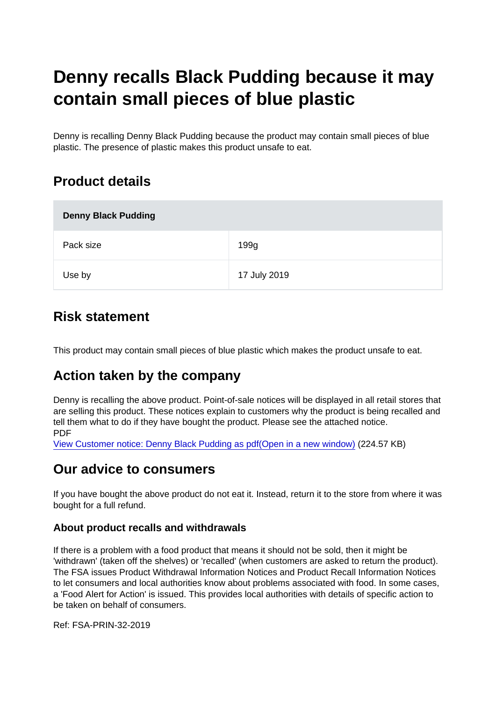# Denny recalls Black Pudding because it may contain small pieces of blue plastic

Denny is recalling Denny Black Pudding because the product may contain small pieces of blue plastic. The presence of plastic makes this product unsafe to eat.

### Product details

| Denny Black Pudding |              |
|---------------------|--------------|
| Pack size           | 199g         |
| Use by              | 17 July 2019 |

### Risk statement

This product may contain small pieces of blue plastic which makes the product unsafe to eat.

## Action taken by the company

Denny is recalling the above product. Point-of-sale notices will be displayed in all retail stores that are selling this product. These notices explain to customers why the product is being recalled and tell them what to do if they have bought the product. Please see the attached notice. PDF

[View Customer notice: Denny Black Pudding as pdf\(Open in a new window\)](https://s3-eu-west-1.amazonaws.com/fsa-alerts-files/production/FSA-PRIN-32-2019/Customer-notice-Denny-Black-Pudding.pdf) (224.57 KB)

#### Our advice to consumers

If you have bought the above product do not eat it. Instead, return it to the store from where it was bought for a full refund.

#### About product recalls and withdrawals

If there is a problem with a food product that means it should not be sold, then it might be 'withdrawn' (taken off the shelves) or 'recalled' (when customers are asked to return the product). The FSA issues Product Withdrawal Information Notices and Product Recall Information Notices to let consumers and local authorities know about problems associated with food. In some cases, a 'Food Alert for Action' is issued. This provides local authorities with details of specific action to be taken on behalf of consumers.

Ref: FSA-PRIN-32-2019